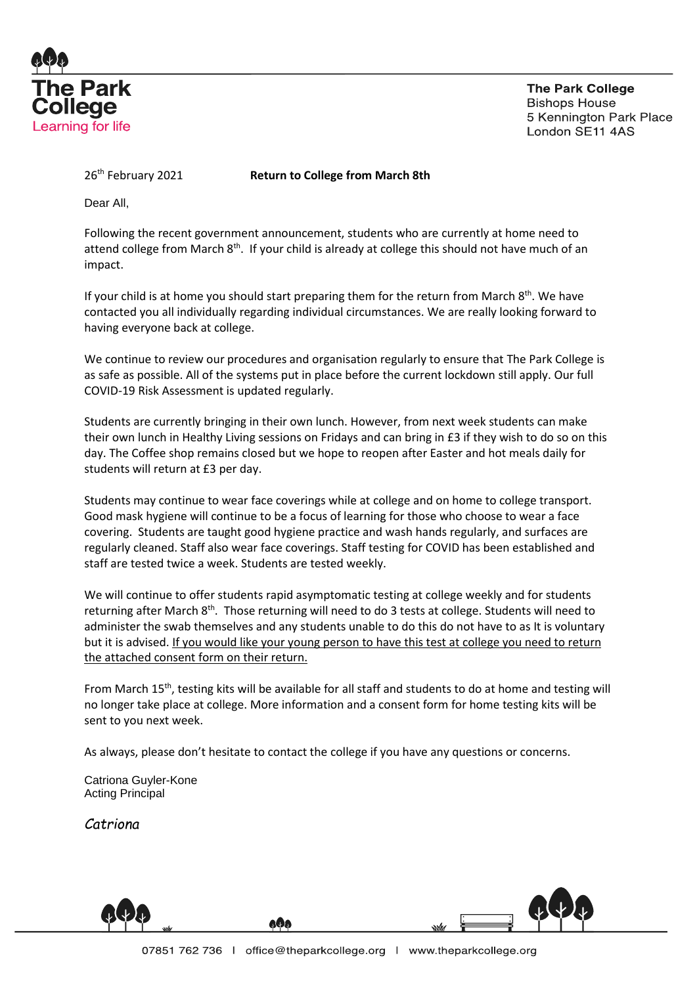

**The Park College Bishops House** 5 Kennington Park Place London SE11 4AS

26th February 2021 **Return to College from March 8th**

Dear All,

Following the recent government announcement, students who are currently at home need to attend college from March  $8<sup>th</sup>$ . If your child is already at college this should not have much of an impact.

If your child is at home you should start preparing them for the return from March 8<sup>th</sup>. We have contacted you all individually regarding individual circumstances. We are really looking forward to having everyone back at college.

We continue to review our procedures and organisation regularly to ensure that The Park College is as safe as possible. All of the systems put in place before the current lockdown still apply. Our full COVID-19 Risk Assessment is updated regularly.

Students are currently bringing in their own lunch. However, from next week students can make their own lunch in Healthy Living sessions on Fridays and can bring in £3 if they wish to do so on this day. The Coffee shop remains closed but we hope to reopen after Easter and hot meals daily for students will return at £3 per day.

Students may continue to wear face coverings while at college and on home to college transport. Good mask hygiene will continue to be a focus of learning for those who choose to wear a face covering. Students are taught good hygiene practice and wash hands regularly, and surfaces are regularly cleaned. Staff also wear face coverings. Staff testing for COVID has been established and staff are tested twice a week. Students are tested weekly.

We will continue to offer students rapid asymptomatic testing at college weekly and for students returning after March 8<sup>th</sup>. Those returning will need to do 3 tests at college. Students will need to administer the swab themselves and any students unable to do this do not have to as It is voluntary but it is advised. If you would like your young person to have this test at college you need to return the attached consent form on their return.

From March 15th, testing kits will be available for all staff and students to do at home and testing will no longer take place at college. More information and a consent form for home testing kits will be sent to you next week.

As always, please don't hesitate to contact the college if you have any questions or concerns.

Catriona Guyler-Kone Acting Principal

*Catriona*